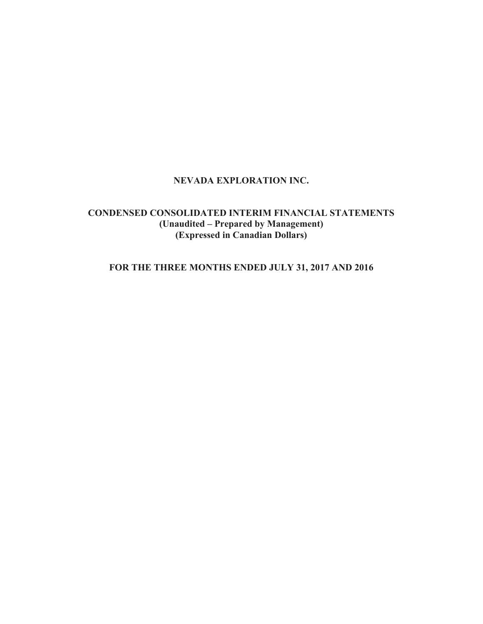# **NEVADA EXPLORATION INC.**

# **CONDENSED CONSOLIDATED INTERIM FINANCIAL STATEMENTS (Unaudited – Prepared by Management) (Expressed in Canadian Dollars)**

**FOR THE THREE MONTHS ENDED JULY 31, 2017 AND 2016**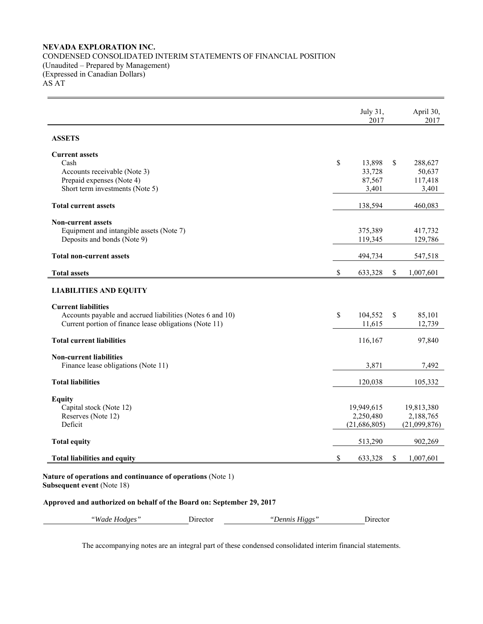## **NEVADA EXPLORATION INC.**  CONDENSED CONSOLIDATED INTERIM STATEMENTS OF FINANCIAL POSITION (Unaudited – Prepared by Management) (Expressed in Canadian Dollars) AS AT

|                                                           | July 31,<br>2017 |              | April 30,<br>2017 |
|-----------------------------------------------------------|------------------|--------------|-------------------|
| <b>ASSETS</b>                                             |                  |              |                   |
| <b>Current assets</b>                                     |                  |              |                   |
| Cash                                                      | \$<br>13,898     | \$           | 288,627           |
| Accounts receivable (Note 3)                              | 33,728           |              | 50,637            |
| Prepaid expenses (Note 4)                                 | 87,567           |              | 117,418           |
| Short term investments (Note 5)                           | 3,401            |              | 3,401             |
| <b>Total current assets</b>                               | 138,594          |              | 460,083           |
| <b>Non-current assets</b>                                 |                  |              |                   |
| Equipment and intangible assets (Note 7)                  | 375,389          |              | 417,732           |
| Deposits and bonds (Note 9)                               | 119,345          |              | 129,786           |
| <b>Total non-current assets</b>                           | 494,734          |              | 547,518           |
| <b>Total assets</b>                                       | \$<br>633,328    | $\mathbb{S}$ | 1,007,601         |
| <b>LIABILITIES AND EQUITY</b>                             |                  |              |                   |
| <b>Current liabilities</b>                                |                  |              |                   |
| Accounts payable and accrued liabilities (Notes 6 and 10) | \$<br>104,552    | \$           | 85,101            |
| Current portion of finance lease obligations (Note 11)    | 11,615           |              | 12,739            |
| <b>Total current liabilities</b>                          | 116,167          |              | 97,840            |
| <b>Non-current liabilities</b>                            |                  |              |                   |
| Finance lease obligations (Note 11)                       | 3,871            |              | 7,492             |
| <b>Total liabilities</b>                                  | 120,038          |              | 105,332           |
| <b>Equity</b>                                             |                  |              |                   |
| Capital stock (Note 12)                                   | 19,949,615       |              | 19,813,380        |
| Reserves (Note 12)                                        | 2,250,480        |              | 2,188,765         |
| Deficit                                                   | (21,686,805)     |              | (21,099,876)      |
| <b>Total equity</b>                                       | 513,290          |              | 902,269           |
| <b>Total liabilities and equity</b>                       | \$<br>633,328    | \$           | 1,007,601         |

**Subsequent event** (Note 18)

### **Approved and authorized on behalf of the Board on: September 29, 2017**

| "Wade. | Jirector | Higgs  | rector |
|--------|----------|--------|--------|
| Hodges |          | Dennis |        |

The accompanying notes are an integral part of these condensed consolidated interim financial statements.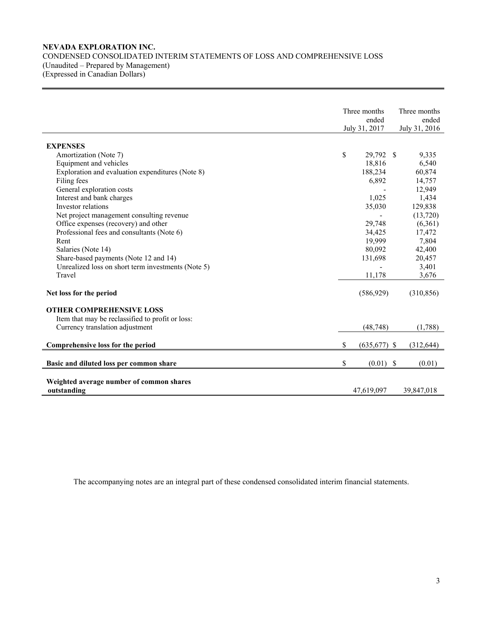## **NEVADA EXPLORATION INC.**  CONDENSED CONSOLIDATED INTERIM STATEMENTS OF LOSS AND COMPREHENSIVE LOSS (Unaudited – Prepared by Management) (Expressed in Canadian Dollars)

|                                                         | Three months<br>ended<br>July 31, 2017 | Three months<br>ended<br>July 31, 2016 |
|---------------------------------------------------------|----------------------------------------|----------------------------------------|
|                                                         |                                        |                                        |
| <b>EXPENSES</b>                                         |                                        |                                        |
| Amortization (Note 7)                                   | \$<br>29,792 \$                        | 9,335                                  |
| Equipment and vehicles                                  | 18,816                                 | 6,540                                  |
| Exploration and evaluation expenditures (Note 8)        | 188,234                                | 60,874                                 |
| Filing fees                                             | 6,892                                  | 14,757                                 |
| General exploration costs                               |                                        | 12,949                                 |
| Interest and bank charges<br>Investor relations         | 1,025                                  | 1,434                                  |
|                                                         | 35,030                                 | 129,838                                |
| Net project management consulting revenue               |                                        | (13,720)                               |
| Office expenses (recovery) and other                    | 29,748                                 | (6,361)                                |
| Professional fees and consultants (Note 6)              | 34,425                                 | 17,472                                 |
| Rent                                                    | 19,999                                 | 7,804                                  |
| Salaries (Note 14)                                      | 80,092                                 | 42,400                                 |
| Share-based payments (Note 12 and 14)                   | 131,698                                | 20,457                                 |
| Unrealized loss on short term investments (Note 5)      |                                        | 3,401                                  |
| Travel                                                  | 11,178                                 | 3,676                                  |
| Net loss for the period                                 | (586, 929)                             | (310, 856)                             |
| <b>OTHER COMPREHENSIVE LOSS</b>                         |                                        |                                        |
| Item that may be reclassified to profit or loss:        |                                        |                                        |
| Currency translation adjustment                         | (48, 748)                              | (1,788)                                |
|                                                         |                                        |                                        |
| Comprehensive loss for the period                       | \$<br>$(635,677)$ \$                   | (312, 644)                             |
| Basic and diluted loss per common share                 | \$<br>$(0.01)$ \$                      | (0.01)                                 |
|                                                         |                                        |                                        |
| Weighted average number of common shares<br>outstanding | 47,619,097                             | 39,847,018                             |

The accompanying notes are an integral part of these condensed consolidated interim financial statements.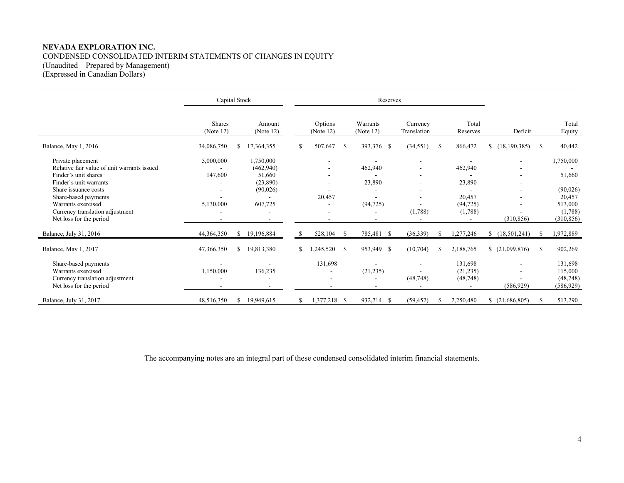### **NEVADA EXPLORATION INC.**  CONDENSED CONSOLIDATED INTERIM STATEMENTS OF CHANGES IN EQUITY (Unaudited – Prepared by Management) (Expressed in Canadian Dollars)

Capital Stock Reserves Shares (Note 12) Amount (Note 12) Options (Note 12) Warrants (Note 12) **Currency** Translation Total Reserves Deficit Total Equity Balance, May 1, 2016 34,086,750 \$ 17,364,355 \$ 507,647 \$ 393,376 \$ (34,551) \$ 866,472 \$ (18,190,385) \$ 40,442 Private placement 1.750,000 5,000,000 1,750,000 - - - - - - - - - - - - - - 1,750,000 Relative fair value of unit warrants issued - (462,940) - 462,940 - 462,940 - 462,940 Finder's unit shares 147,600 51,660 - - - - - 51,660 Finder`s unit warrants and the contract of the contract of the contract of the contract of the contract of the contract of the contract of the contract of the contract of the contract of the contract of the contract of the Share issuance costs  $(90,026)$   $(90,026)$ Share-based payments 20,457 - 20,457 - 20,457 - 20,457 - 20,457 - 20,457 Warrants exercised 5,130,000 607,725 - (94,725) - (94,725) - 513,000 Currency translation adjustment (1,788) (1,788) (1,788) (1,788) (1,788) (1,788) (1,788) (1,788) (1,788) (1,788) (1,788) (1,788) (1,788) (1,788) (1,788) (1,788) (1,788) (1,788) (1,788) (1,788) (1,788) (1,788) (1,788) (1,788 Net loss for the period and the period and the period of the period of the period of the period of the period of the period of the period of the period of the period of the period of the period of the period of the period Balance, July 31, 2016 44,364,350 \$ 19,196,884 \$ 528,104 \$ 785,481 \$ (36,339) \$ 1,277,246 \$ (18,501,241) \$ 1,972,889 Balance, May 1, 2017 47,366,350 \$ 19,813,380 \$ 1,245,520 \$ 953,949 \$ (10,704) \$ 2,188,765 \$ (21,099,876) \$ 902,269 Share-based payments 131,698 - 131,698 - 131,698 - 131,698 - 131,698 - 131,698 - 131,698 - 131,698 - 131,698 - 131,698 - 131,698 - 131,698 - 131,698 - 131,698 - 131,698 - 131,698 - 131,698 - 131,698 - 131,698 - 131,698 - 1 Warrants exercised 1.150,000 136,235 - (21,235) - (21,235) - (21,235) - 115,000 Currency translation adjustment (48,748) (48,748) (48,748) (48,748) (48,748) (48,748) Net loss for the period (586,929) (586,929) (586,929) (586,929) Balance, July 31, 2017 48,516,350 \$ 19,949,615 \$ 1,377,218 \$ 932,714 \$ (59,452) \$ 2,250,480 \$ (21,686,805) \$ 513,290

The accompanying notes are an integral part of these condensed consolidated interim financial statements.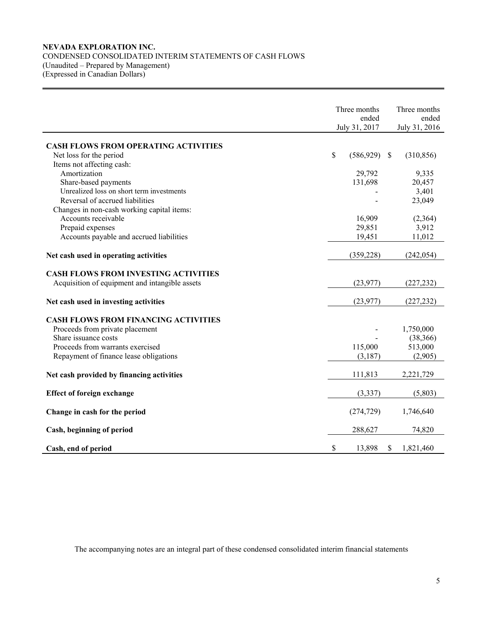## **NEVADA EXPLORATION INC.**  CONDENSED CONSOLIDATED INTERIM STATEMENTS OF CASH FLOWS (Unaudited – Prepared by Management) (Expressed in Canadian Dollars)

|                                                         | Three months     |    | Three months  |
|---------------------------------------------------------|------------------|----|---------------|
|                                                         | ended            |    | ended         |
|                                                         | July 31, 2017    |    | July 31, 2016 |
|                                                         |                  |    |               |
| <b>CASH FLOWS FROM OPERATING ACTIVITIES</b>             |                  |    |               |
| Net loss for the period                                 | \$<br>(586, 929) | -S | (310, 856)    |
| Items not affecting cash:                               |                  |    |               |
| Amortization                                            | 29,792           |    | 9,335         |
| Share-based payments                                    | 131,698          |    | 20,457        |
| Unrealized loss on short term investments               |                  |    | 3,401         |
| Reversal of accrued liabilities                         |                  |    | 23,049        |
| Changes in non-cash working capital items:              |                  |    |               |
| Accounts receivable                                     | 16,909           |    | (2,364)       |
| Prepaid expenses                                        | 29,851           |    | 3,912         |
| Accounts payable and accrued liabilities                | 19,451           |    | 11,012        |
| Net cash used in operating activities                   | (359, 228)       |    | (242, 054)    |
|                                                         |                  |    |               |
| <b>CASH FLOWS FROM INVESTING ACTIVITIES</b>             |                  |    |               |
| Acquisition of equipment and intangible assets          | (23,977)         |    | (227, 232)    |
|                                                         |                  |    |               |
| Net cash used in investing activities                   | (23, 977)        |    | (227, 232)    |
|                                                         |                  |    |               |
| <b>CASH FLOWS FROM FINANCING ACTIVITIES</b>             |                  |    |               |
| Proceeds from private placement<br>Share issuance costs |                  |    | 1,750,000     |
|                                                         |                  |    | (38, 366)     |
| Proceeds from warrants exercised                        | 115,000          |    | 513,000       |
| Repayment of finance lease obligations                  | (3,187)          |    | (2,905)       |
| Net cash provided by financing activities               | 111,813          |    | 2,221,729     |
|                                                         |                  |    |               |
| <b>Effect of foreign exchange</b>                       | (3, 337)         |    | (5,803)       |
| Change in cash for the period                           | (274, 729)       |    | 1,746,640     |
| Cash, beginning of period                               | 288,627          |    | 74,820        |
| Cash, end of period                                     | \$<br>13,898     | \$ | 1,821,460     |

The accompanying notes are an integral part of these condensed consolidated interim financial statements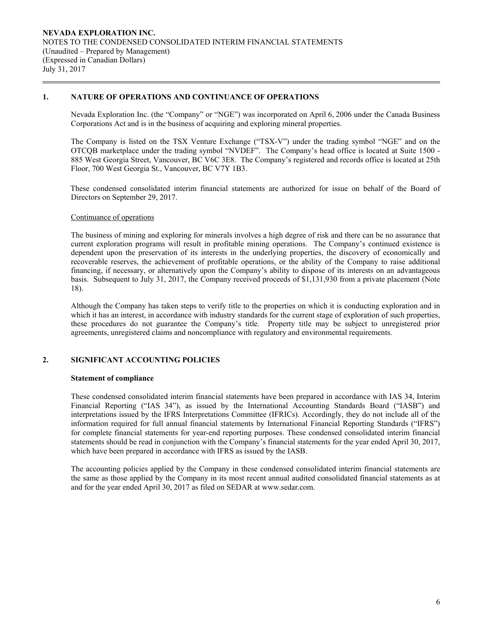## **1. NATURE OF OPERATIONS AND CONTINUANCE OF OPERATIONS**

Nevada Exploration Inc. (the "Company" or "NGE") was incorporated on April 6, 2006 under the Canada Business Corporations Act and is in the business of acquiring and exploring mineral properties.

The Company is listed on the TSX Venture Exchange ("TSX-V") under the trading symbol "NGE" and on the OTCQB marketplace under the trading symbol "NVDEF". The Company's head office is located at Suite 1500 - 885 West Georgia Street, Vancouver, BC V6C 3E8. The Company's registered and records office is located at 25th Floor, 700 West Georgia St., Vancouver, BC V7Y 1B3.

These condensed consolidated interim financial statements are authorized for issue on behalf of the Board of Directors on September 29, 2017.

### Continuance of operations

The business of mining and exploring for minerals involves a high degree of risk and there can be no assurance that current exploration programs will result in profitable mining operations. The Company's continued existence is dependent upon the preservation of its interests in the underlying properties, the discovery of economically and recoverable reserves, the achievement of profitable operations, or the ability of the Company to raise additional financing, if necessary, or alternatively upon the Company's ability to dispose of its interests on an advantageous basis. Subsequent to July 31, 2017, the Company received proceeds of \$1,131,930 from a private placement (Note 18).

Although the Company has taken steps to verify title to the properties on which it is conducting exploration and in which it has an interest, in accordance with industry standards for the current stage of exploration of such properties, these procedures do not guarantee the Company's title. Property title may be subject to unregistered prior agreements, unregistered claims and noncompliance with regulatory and environmental requirements.

## **2. SIGNIFICANT ACCOUNTING POLICIES**

### **Statement of compliance**

 These condensed consolidated interim financial statements have been prepared in accordance with IAS 34, Interim Financial Reporting ("IAS 34"), as issued by the International Accounting Standards Board ("IASB") and interpretations issued by the IFRS Interpretations Committee (IFRICs). Accordingly, they do not include all of the information required for full annual financial statements by International Financial Reporting Standards ("IFRS") for complete financial statements for year-end reporting purposes. These condensed consolidated interim financial statements should be read in conjunction with the Company's financial statements for the year ended April 30, 2017, which have been prepared in accordance with IFRS as issued by the IASB.

 The accounting policies applied by the Company in these condensed consolidated interim financial statements are the same as those applied by the Company in its most recent annual audited consolidated financial statements as at and for the year ended April 30, 2017 as filed on SEDAR at www.sedar.com.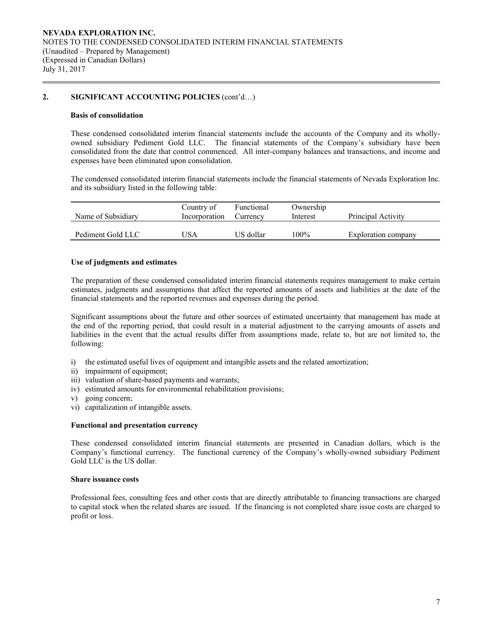## **2. SIGNIFICANT ACCOUNTING POLICIES** (cont'd…)

### **Basis of consolidation**

 These condensed consolidated interim financial statements include the accounts of the Company and its whollyowned subsidiary Pediment Gold LLC. The financial statements of the Company's subsidiary have been consolidated from the date that control commenced. All inter-company balances and transactions, and income and expenses have been eliminated upon consolidation.

The condensed consolidated interim financial statements include the financial statements of Nevada Exploration Inc. and its subsidiary listed in the following table:

| Name of Subsidiary | Country of<br>Incorporation | Functional<br>Currency | Ownership<br>Interest | Principal Activity  |
|--------------------|-----------------------------|------------------------|-----------------------|---------------------|
| Pediment Gold LLC  | JSA                         | US dollar              | 100%                  | Exploration company |

### **Use of judgments and estimates**

The preparation of these condensed consolidated interim financial statements requires management to make certain estimates, judgments and assumptions that affect the reported amounts of assets and liabilities at the date of the financial statements and the reported revenues and expenses during the period.

 Significant assumptions about the future and other sources of estimated uncertainty that management has made at the end of the reporting period, that could result in a material adjustment to the carrying amounts of assets and liabilities in the event that the actual results differ from assumptions made, relate to, but are not limited to, the following:

- i) the estimated useful lives of equipment and intangible assets and the related amortization;
- ii) impairment of equipment;
- iii) valuation of share-based payments and warrants;
- iv) estimated amounts for environmental rehabilitation provisions;
- v) going concern;
- vi) capitalization of intangible assets.

### **Functional and presentation currency**

These condensed consolidated interim financial statements are presented in Canadian dollars, which is the Company's functional currency. The functional currency of the Company's wholly-owned subsidiary Pediment Gold LLC is the US dollar.

### **Share issuance costs**

 Professional fees, consulting fees and other costs that are directly attributable to financing transactions are charged to capital stock when the related shares are issued. If the financing is not completed share issue costs are charged to profit or loss.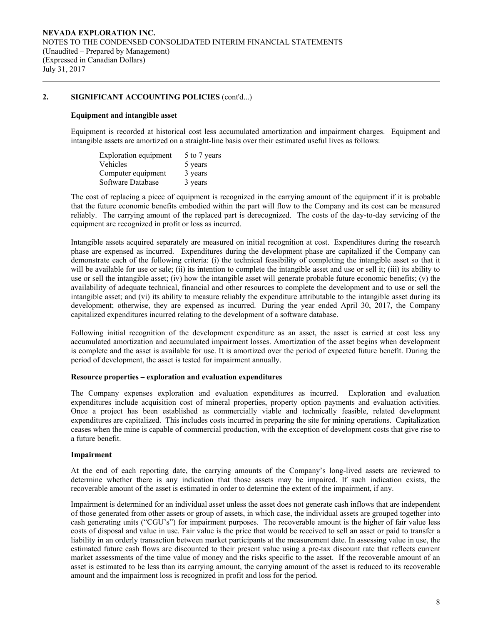## **2. SIGNIFICANT ACCOUNTING POLICIES** (cont'd...)

### **Equipment and intangible asset**

Equipment is recorded at historical cost less accumulated amortization and impairment charges. Equipment and intangible assets are amortized on a straight-line basis over their estimated useful lives as follows:

| Exploration equipment | 5 to 7 years |
|-----------------------|--------------|
| Vehicles              | 5 years      |
| Computer equipment    | 3 years      |
| Software Database     | 3 years      |

The cost of replacing a piece of equipment is recognized in the carrying amount of the equipment if it is probable that the future economic benefits embodied within the part will flow to the Company and its cost can be measured reliably. The carrying amount of the replaced part is derecognized. The costs of the day-to-day servicing of the equipment are recognized in profit or loss as incurred.

Intangible assets acquired separately are measured on initial recognition at cost. Expenditures during the research phase are expensed as incurred. Expenditures during the development phase are capitalized if the Company can demonstrate each of the following criteria: (i) the technical feasibility of completing the intangible asset so that it will be available for use or sale; (ii) its intention to complete the intangible asset and use or sell it; (iii) its ability to use or sell the intangible asset; (iv) how the intangible asset will generate probable future economic benefits; (v) the availability of adequate technical, financial and other resources to complete the development and to use or sell the intangible asset; and (vi) its ability to measure reliably the expenditure attributable to the intangible asset during its development; otherwise, they are expensed as incurred. During the year ended April 30, 2017, the Company capitalized expenditures incurred relating to the development of a software database.

Following initial recognition of the development expenditure as an asset, the asset is carried at cost less any accumulated amortization and accumulated impairment losses. Amortization of the asset begins when development is complete and the asset is available for use. It is amortized over the period of expected future benefit. During the period of development, the asset is tested for impairment annually.

### **Resource properties – exploration and evaluation expenditures**

 The Company expenses exploration and evaluation expenditures as incurred. Exploration and evaluation expenditures include acquisition cost of mineral properties, property option payments and evaluation activities. Once a project has been established as commercially viable and technically feasible, related development expenditures are capitalized. This includes costs incurred in preparing the site for mining operations. Capitalization ceases when the mine is capable of commercial production, with the exception of development costs that give rise to a future benefit.

### **Impairment**

At the end of each reporting date, the carrying amounts of the Company's long-lived assets are reviewed to determine whether there is any indication that those assets may be impaired. If such indication exists, the recoverable amount of the asset is estimated in order to determine the extent of the impairment, if any.

Impairment is determined for an individual asset unless the asset does not generate cash inflows that are independent of those generated from other assets or group of assets, in which case, the individual assets are grouped together into cash generating units ("CGU's") for impairment purposes. The recoverable amount is the higher of fair value less costs of disposal and value in use. Fair value is the price that would be received to sell an asset or paid to transfer a liability in an orderly transaction between market participants at the measurement date. In assessing value in use, the estimated future cash flows are discounted to their present value using a pre-tax discount rate that reflects current market assessments of the time value of money and the risks specific to the asset. If the recoverable amount of an asset is estimated to be less than its carrying amount, the carrying amount of the asset is reduced to its recoverable amount and the impairment loss is recognized in profit and loss for the period.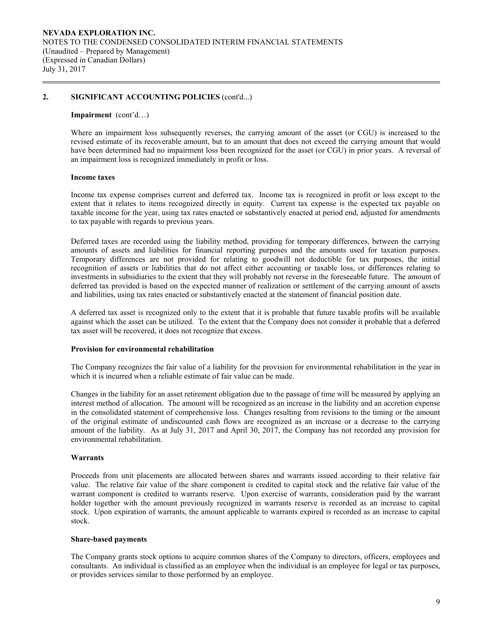### **2. SIGNIFICANT ACCOUNTING POLICIES** (cont'd...)

### **Impairment** (cont'd…)

Where an impairment loss subsequently reverses, the carrying amount of the asset (or CGU) is increased to the revised estimate of its recoverable amount, but to an amount that does not exceed the carrying amount that would have been determined had no impairment loss been recognized for the asset (or CGU) in prior years. A reversal of an impairment loss is recognized immediately in profit or loss.

#### **Income taxes**

Income tax expense comprises current and deferred tax. Income tax is recognized in profit or loss except to the extent that it relates to items recognized directly in equity. Current tax expense is the expected tax payable on taxable income for the year, using tax rates enacted or substantively enacted at period end, adjusted for amendments to tax payable with regards to previous years.

Deferred taxes are recorded using the liability method, providing for temporary differences, between the carrying amounts of assets and liabilities for financial reporting purposes and the amounts used for taxation purposes. Temporary differences are not provided for relating to goodwill not deductible for tax purposes, the initial recognition of assets or liabilities that do not affect either accounting or taxable loss, or differences relating to investments in subsidiaries to the extent that they will probably not reverse in the foreseeable future. The amount of deferred tax provided is based on the expected manner of realization or settlement of the carrying amount of assets and liabilities, using tax rates enacted or substantively enacted at the statement of financial position date.

A deferred tax asset is recognized only to the extent that it is probable that future taxable profits will be available against which the asset can be utilized. To the extent that the Company does not consider it probable that a deferred tax asset will be recovered, it does not recognize that excess.

### **Provision for environmental rehabilitation**

The Company recognizes the fair value of a liability for the provision for environmental rehabilitation in the year in which it is incurred when a reliable estimate of fair value can be made.

Changes in the liability for an asset retirement obligation due to the passage of time will be measured by applying an interest method of allocation. The amount will be recognized as an increase in the liability and an accretion expense in the consolidated statement of comprehensive loss. Changes resulting from revisions to the timing or the amount of the original estimate of undiscounted cash flows are recognized as an increase or a decrease to the carrying amount of the liability. As at July 31, 2017 and April 30, 2017, the Company has not recorded any provision for environmental rehabilitation.

### **Warrants**

Proceeds from unit placements are allocated between shares and warrants issued according to their relative fair value. The relative fair value of the share component is credited to capital stock and the relative fair value of the warrant component is credited to warrants reserve. Upon exercise of warrants, consideration paid by the warrant holder together with the amount previously recognized in warrants reserve is recorded as an increase to capital stock. Upon expiration of warrants, the amount applicable to warrants expired is recorded as an increase to capital stock.

#### **Share-based payments**

The Company grants stock options to acquire common shares of the Company to directors, officers, employees and consultants. An individual is classified as an employee when the individual is an employee for legal or tax purposes, or provides services similar to those performed by an employee.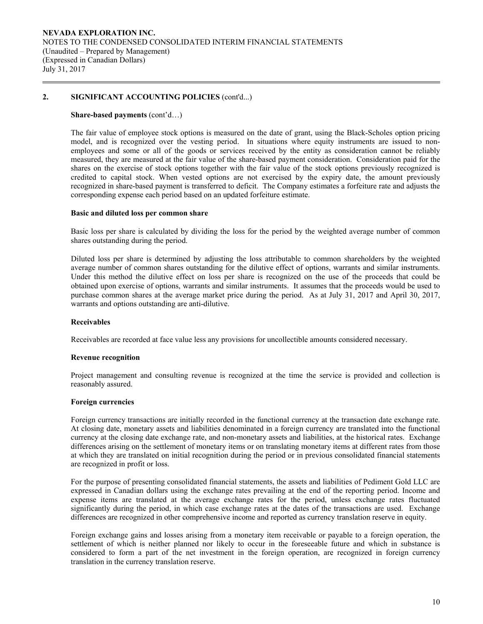## **2. SIGNIFICANT ACCOUNTING POLICIES** (cont'd...)

### **Share-based payments** (cont'd…)

The fair value of employee stock options is measured on the date of grant, using the Black-Scholes option pricing model, and is recognized over the vesting period. In situations where equity instruments are issued to nonemployees and some or all of the goods or services received by the entity as consideration cannot be reliably measured, they are measured at the fair value of the share-based payment consideration. Consideration paid for the shares on the exercise of stock options together with the fair value of the stock options previously recognized is credited to capital stock. When vested options are not exercised by the expiry date, the amount previously recognized in share-based payment is transferred to deficit. The Company estimates a forfeiture rate and adjusts the corresponding expense each period based on an updated forfeiture estimate.

#### **Basic and diluted loss per common share**

Basic loss per share is calculated by dividing the loss for the period by the weighted average number of common shares outstanding during the period.

 Diluted loss per share is determined by adjusting the loss attributable to common shareholders by the weighted average number of common shares outstanding for the dilutive effect of options, warrants and similar instruments. Under this method the dilutive effect on loss per share is recognized on the use of the proceeds that could be obtained upon exercise of options, warrants and similar instruments. It assumes that the proceeds would be used to purchase common shares at the average market price during the period. As at July 31, 2017 and April 30, 2017, warrants and options outstanding are anti-dilutive.

### **Receivables**

Receivables are recorded at face value less any provisions for uncollectible amounts considered necessary.

#### **Revenue recognition**

Project management and consulting revenue is recognized at the time the service is provided and collection is reasonably assured.

### **Foreign currencies**

 Foreign currency transactions are initially recorded in the functional currency at the transaction date exchange rate. At closing date, monetary assets and liabilities denominated in a foreign currency are translated into the functional currency at the closing date exchange rate, and non-monetary assets and liabilities, at the historical rates. Exchange differences arising on the settlement of monetary items or on translating monetary items at different rates from those at which they are translated on initial recognition during the period or in previous consolidated financial statements are recognized in profit or loss.

For the purpose of presenting consolidated financial statements, the assets and liabilities of Pediment Gold LLC are expressed in Canadian dollars using the exchange rates prevailing at the end of the reporting period. Income and expense items are translated at the average exchange rates for the period, unless exchange rates fluctuated significantly during the period, in which case exchange rates at the dates of the transactions are used. Exchange differences are recognized in other comprehensive income and reported as currency translation reserve in equity.

 Foreign exchange gains and losses arising from a monetary item receivable or payable to a foreign operation, the settlement of which is neither planned nor likely to occur in the foreseeable future and which in substance is considered to form a part of the net investment in the foreign operation, are recognized in foreign currency translation in the currency translation reserve.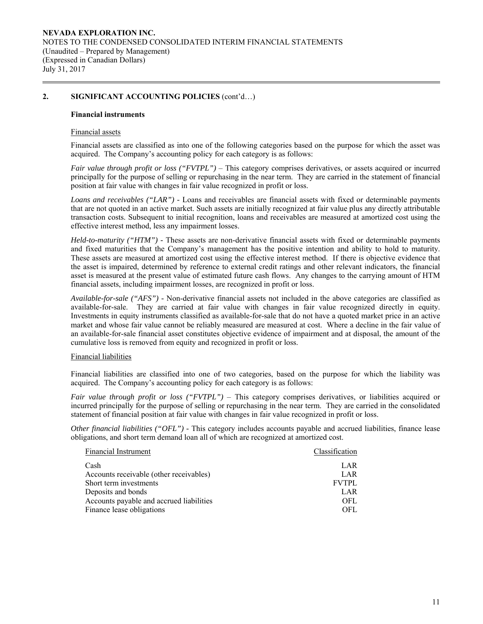## **2. SIGNIFICANT ACCOUNTING POLICIES** (cont'd…)

### **Financial instruments**

### Financial assets

Financial assets are classified as into one of the following categories based on the purpose for which the asset was acquired. The Company's accounting policy for each category is as follows:

*Fair value through profit or loss ("FVTPL")* – This category comprises derivatives, or assets acquired or incurred principally for the purpose of selling or repurchasing in the near term. They are carried in the statement of financial position at fair value with changes in fair value recognized in profit or loss.

*Loans and receivables ("LAR") -* Loans and receivables are financial assets with fixed or determinable payments that are not quoted in an active market. Such assets are initially recognized at fair value plus any directly attributable transaction costs. Subsequent to initial recognition, loans and receivables are measured at amortized cost using the effective interest method, less any impairment losses.

*Held-to-maturity ("HTM") -* These assets are non-derivative financial assets with fixed or determinable payments and fixed maturities that the Company's management has the positive intention and ability to hold to maturity. These assets are measured at amortized cost using the effective interest method. If there is objective evidence that the asset is impaired, determined by reference to external credit ratings and other relevant indicators, the financial asset is measured at the present value of estimated future cash flows. Any changes to the carrying amount of HTM financial assets, including impairment losses, are recognized in profit or loss.

*Available-for-sale ("AFS") -* Non-derivative financial assets not included in the above categories are classified as available-for-sale. They are carried at fair value with changes in fair value recognized directly in equity. Investments in equity instruments classified as available-for-sale that do not have a quoted market price in an active market and whose fair value cannot be reliably measured are measured at cost. Where a decline in the fair value of an available-for-sale financial asset constitutes objective evidence of impairment and at disposal, the amount of the cumulative loss is removed from equity and recognized in profit or loss.

### Financial liabilities

Financial liabilities are classified into one of two categories, based on the purpose for which the liability was acquired. The Company's accounting policy for each category is as follows:

*Fair value through profit or loss ("FVTPL")* – This category comprises derivatives, or liabilities acquired or incurred principally for the purpose of selling or repurchasing in the near term. They are carried in the consolidated statement of financial position at fair value with changes in fair value recognized in profit or loss.

*Other financial liabilities ("OFL") -* This category includes accounts payable and accrued liabilities, finance lease obligations, and short term demand loan all of which are recognized at amortized cost.

| Financial Instrument                     | Classification |
|------------------------------------------|----------------|
| Cash                                     | LAR            |
| Accounts receivable (other receivables)  | LAR            |
| Short term investments                   | <b>FVTPL</b>   |
| Deposits and bonds                       | LAR            |
| Accounts payable and accrued liabilities | <b>OFL</b>     |
| Finance lease obligations                | OFL.           |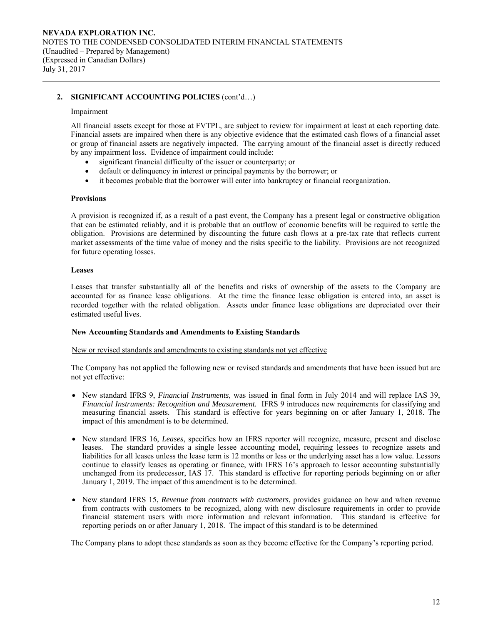## **2. SIGNIFICANT ACCOUNTING POLICIES** (cont'd…)

### Impairment

All financial assets except for those at FVTPL, are subject to review for impairment at least at each reporting date. Financial assets are impaired when there is any objective evidence that the estimated cash flows of a financial asset or group of financial assets are negatively impacted. The carrying amount of the financial asset is directly reduced by any impairment loss. Evidence of impairment could include:

- significant financial difficulty of the issuer or counterparty; or
- default or delinquency in interest or principal payments by the borrower; or
- it becomes probable that the borrower will enter into bankruptcy or financial reorganization.

### **Provisions**

A provision is recognized if, as a result of a past event, the Company has a present legal or constructive obligation that can be estimated reliably, and it is probable that an outflow of economic benefits will be required to settle the obligation. Provisions are determined by discounting the future cash flows at a pre-tax rate that reflects current market assessments of the time value of money and the risks specific to the liability. Provisions are not recognized for future operating losses.

### **Leases**

Leases that transfer substantially all of the benefits and risks of ownership of the assets to the Company are accounted for as finance lease obligations. At the time the finance lease obligation is entered into, an asset is recorded together with the related obligation. Assets under finance lease obligations are depreciated over their estimated useful lives.

### **New Accounting Standards and Amendments to Existing Standards**

New or revised standards and amendments to existing standards not yet effective

 The Company has not applied the following new or revised standards and amendments that have been issued but are not yet effective:

- New standard IFRS 9, *Financial Instruments*, was issued in final form in July 2014 and will replace IAS 39, *Financial Instruments: Recognition and Measurement.* IFRS 9 introduces new requirements for classifying and measuring financial assets. This standard is effective for years beginning on or after January 1, 2018. The impact of this amendment is to be determined.
- New standard IFRS 16, *Leases*, specifies how an IFRS reporter will recognize, measure, present and disclose leases. The standard provides a single lessee accounting model, requiring lessees to recognize assets and liabilities for all leases unless the lease term is 12 months or less or the underlying asset has a low value. Lessors continue to classify leases as operating or finance, with IFRS 16's approach to lessor accounting substantially unchanged from its predecessor, IAS 17. This standard is effective for reporting periods beginning on or after January 1, 2019. The impact of this amendment is to be determined.
- New standard IFRS 15, *Revenue from contracts with customers*, provides guidance on how and when revenue from contracts with customers to be recognized, along with new disclosure requirements in order to provide financial statement users with more information and relevant information. This standard is effective for reporting periods on or after January 1, 2018. The impact of this standard is to be determined

The Company plans to adopt these standards as soon as they become effective for the Company's reporting period.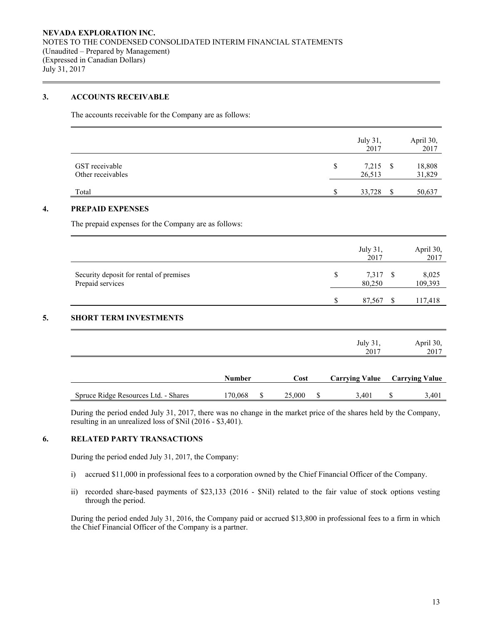## **3. ACCOUNTS RECEIVABLE**

The accounts receivable for the Company are as follows:

|                                                                                 | July 31,<br>2017           |              | April 30,<br>2017 |
|---------------------------------------------------------------------------------|----------------------------|--------------|-------------------|
| GST receivable<br>Other receivables                                             | \$<br>$7,215$ \$<br>26,513 |              | 18,808<br>31,829  |
| Total                                                                           | \$<br>33,728               | <sup>S</sup> | 50,637            |
| <b>PREPAID EXPENSES</b><br>The prepaid expenses for the Company are as follows: |                            |              |                   |
|                                                                                 | July 31,<br>2017           |              | April 30,<br>2017 |
| Security deposit for rental of premises                                         | \$<br>7,317 \$             |              | 8,025             |

### **5. SHORT TERM INVESTMENTS**

|                                      |               |              |   | July 31,<br>2017      | April 30,<br>2017     |
|--------------------------------------|---------------|--------------|---|-----------------------|-----------------------|
|                                      | <b>Number</b> | Cost         |   | <b>Carrying Value</b> | <b>Carrying Value</b> |
| Spruce Ridge Resources Ltd. - Shares | 170,068       | \$<br>25,000 | S | 3,401                 | 3,401                 |

Prepaid services 80,250 109,393

During the period ended July 31, 2017, there was no change in the market price of the shares held by the Company, resulting in an unrealized loss of \$Nil (2016 - \$3,401).

## **6. RELATED PARTY TRANSACTIONS**

During the period ended July 31, 2017, the Company:

- i) accrued \$11,000 in professional fees to a corporation owned by the Chief Financial Officer of the Company.
- ii) recorded share-based payments of \$23,133 (2016 \$Nil) related to the fair value of stock options vesting through the period.

During the period ended July 31, 2016, the Company paid or accrued \$13,800 in professional fees to a firm in which the Chief Financial Officer of the Company is a partner.

\$ 87,567 \$ 117,418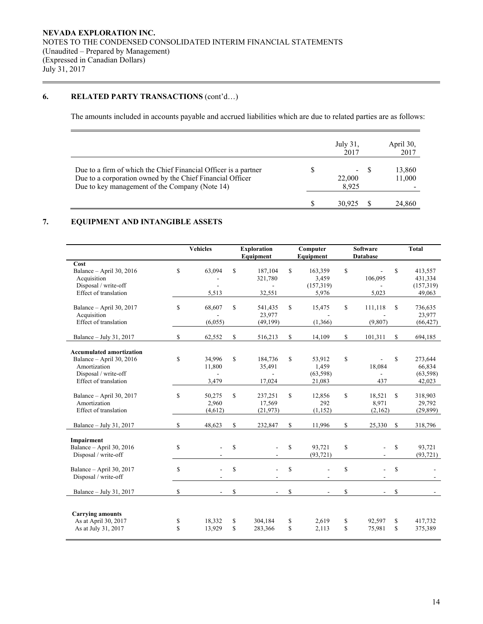## **6. RELATED PARTY TRANSACTIONS**  $(cont'd...)$

The amounts included in accounts payable and accrued liabilities which are due to related parties are as follows:

|                                                                                                                                                                                |   | July 31,<br>2017 |       | April 30,<br>2017 |
|--------------------------------------------------------------------------------------------------------------------------------------------------------------------------------|---|------------------|-------|-------------------|
| Due to a firm of which the Chief Financial Officer is a partner<br>Due to a corporation owned by the Chief Financial Officer<br>Due to key management of the Company (Note 14) | S | 22,000<br>8.925  | $- S$ | 13,860<br>11,000  |
|                                                                                                                                                                                |   | 30.925           |       | 24,860            |

## **7. EQUIPMENT AND INTANGIBLE ASSETS**

|                                                                                                                              | <b>Vehicles</b><br><b>Exploration</b><br>Equipment |                            |             |                                |             | <b>Software</b><br>Computer<br>Equipment<br><b>Database</b> |                   |                            |                   |                                           |  |  |  | <b>Total</b> |
|------------------------------------------------------------------------------------------------------------------------------|----------------------------------------------------|----------------------------|-------------|--------------------------------|-------------|-------------------------------------------------------------|-------------------|----------------------------|-------------------|-------------------------------------------|--|--|--|--------------|
| Cost<br>Balance - April 30, 2016<br>Acquisition<br>Disposal / write-off<br>Effect of translation                             | $\mathbf S$                                        | 63,094<br>5,513            | \$          | 187,104<br>321,780<br>32,551   | $\mathbf S$ | 163,359<br>3,459<br>(157, 319)<br>5,976                     | $\mathbf S$       | 106.095<br>5,023           | $\mathbb{S}$      | 413,557<br>431,334<br>(157,319)<br>49,063 |  |  |  |              |
| Balance - April 30, 2017<br>Acquisition<br>Effect of translation                                                             | \$                                                 | 68,607<br>(6,055)          | \$          | 541,435<br>23,977<br>(49, 199) | \$          | 15,475<br>(1,366)                                           | \$                | 111,118<br>(9, 807)        | \$                | 736,635<br>23,977<br>(66, 427)            |  |  |  |              |
| Balance - July 31, 2017                                                                                                      | \$                                                 | 62,552                     | \$          | 516,213                        | \$          | 14,109                                                      | \$                | 101,311                    | \$                | 694,185                                   |  |  |  |              |
| <b>Accumulated amortization</b><br>Balance - April 30, 2016<br>Amortization<br>Disposal / write-off<br>Effect of translation | \$                                                 | 34,996<br>11,800<br>3,479  | \$          | 184,736<br>35,491<br>17,024    | $\mathbf S$ | 53,912<br>1,459<br>(63, 598)<br>21,083                      | $\mathbb{S}$      | 18,084<br>437              | $\mathbf S$       | 273,644<br>66,834<br>(63, 598)<br>42,023  |  |  |  |              |
| Balance - April 30, 2017<br>Amortization<br>Effect of translation                                                            | \$                                                 | 50,275<br>2,960<br>(4,612) | \$          | 237,251<br>17,569<br>(21, 973) | \$          | 12,856<br>292<br>(1, 152)                                   | \$                | 18,521<br>8,971<br>(2,162) | S                 | 318,903<br>29,792<br>(29, 899)            |  |  |  |              |
| Balance - July 31, 2017                                                                                                      | \$                                                 | 48,623                     | S           | 232,847                        | \$          | 11,996                                                      | \$                | 25,330                     | $\mathbb{S}$      | 318,796                                   |  |  |  |              |
| Impairment<br>Balance - April 30, 2016<br>Disposal / write-off                                                               | \$                                                 |                            | \$          |                                | \$          | 93,721<br>(93, 721)                                         | \$                |                            | \$                | 93,721<br>(93, 721)                       |  |  |  |              |
| Balance - April 30, 2017<br>Disposal / write-off                                                                             | \$                                                 |                            | $\mathbf S$ |                                | $\mathbf S$ |                                                             | \$                |                            | \$                |                                           |  |  |  |              |
| Balance - July 31, 2017                                                                                                      | \$                                                 |                            | \$          |                                | \$          |                                                             | \$                |                            | <sup>\$</sup>     |                                           |  |  |  |              |
| <b>Carrying amounts</b><br>As at April 30, 2017<br>As at July 31, 2017                                                       | \$<br>\$                                           | 18,332<br>13,929           | \$<br>\$    | 304,184<br>283,366             | \$<br>\$    | 2,619<br>2,113                                              | \$<br>$\mathbf S$ | 92,597<br>75,981           | \$<br>$\mathbf S$ | 417,732<br>375,389                        |  |  |  |              |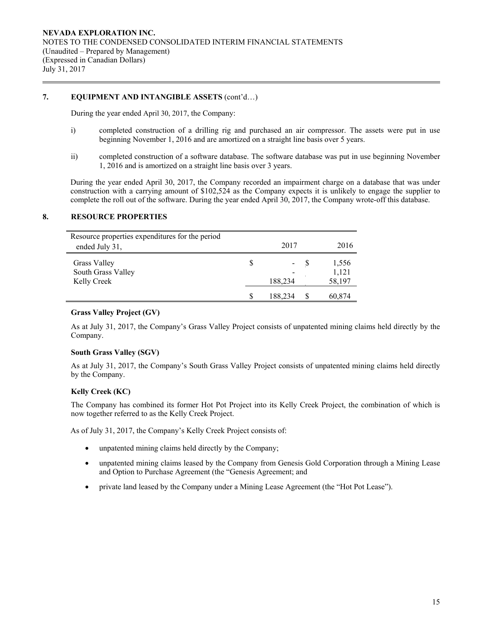## **7. EQUIPMENT AND INTANGIBLE ASSETS** (cont'd…)

During the year ended April 30, 2017, the Company:

- i) completed construction of a drilling rig and purchased an air compressor. The assets were put in use beginning November 1, 2016 and are amortized on a straight line basis over 5 years.
- ii) completed construction of a software database. The software database was put in use beginning November 1, 2016 and is amortized on a straight line basis over 3 years.

During the year ended April 30, 2017, the Company recorded an impairment charge on a database that was under construction with a carrying amount of \$102,524 as the Company expects it is unlikely to engage the supplier to complete the roll out of the software. During the year ended April 30, 2017, the Company wrote-off this database.

### **8. RESOURCE PROPERTIES**

| Resource properties expenditures for the period<br>ended July 31, | 2017                                    | 2016                     |
|-------------------------------------------------------------------|-----------------------------------------|--------------------------|
| Grass Valley<br>South Grass Valley<br>Kelly Creek                 | $\qquad \qquad \blacksquare$<br>188,234 | 1,556<br>1,121<br>58,197 |
|                                                                   | 188,234                                 | 60,874                   |

## **Grass Valley Project (GV)**

As at July 31, 2017, the Company's Grass Valley Project consists of unpatented mining claims held directly by the Company.

### **South Grass Valley (SGV)**

As at July 31, 2017, the Company's South Grass Valley Project consists of unpatented mining claims held directly by the Company.

## **Kelly Creek (KC)**

The Company has combined its former Hot Pot Project into its Kelly Creek Project, the combination of which is now together referred to as the Kelly Creek Project.

As of July 31, 2017, the Company's Kelly Creek Project consists of:

- unpatented mining claims held directly by the Company;
- unpatented mining claims leased by the Company from Genesis Gold Corporation through a Mining Lease and Option to Purchase Agreement (the "Genesis Agreement; and
- private land leased by the Company under a Mining Lease Agreement (the "Hot Pot Lease").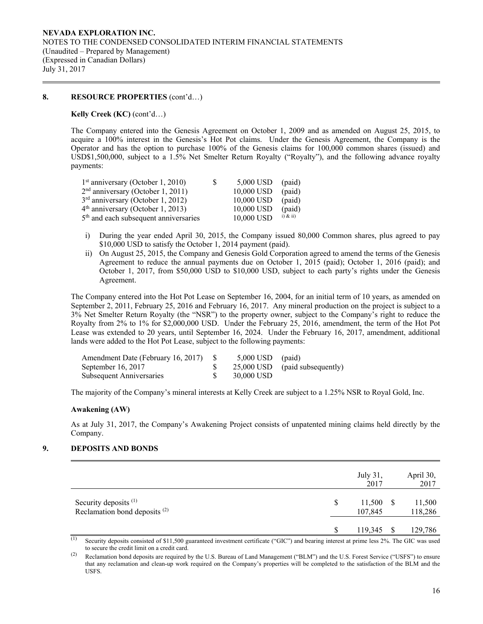## **8. RESOURCE PROPERTIES** (cont'd…)

### **Kelly Creek (KC)** (cont'd…)

The Company entered into the Genesis Agreement on October 1, 2009 and as amended on August 25, 2015, to acquire a 100% interest in the Genesis's Hot Pot claims. Under the Genesis Agreement, the Company is the Operator and has the option to purchase 100% of the Genesis claims for 100,000 common shares (issued) and USD\$1,500,000, subject to a 1.5% Net Smelter Return Royalty ("Royalty"), and the following advance royalty payments:

| $1st$ anniversary (October 1, 2010)               | S | $5,000$ USD (paid) |               |
|---------------------------------------------------|---|--------------------|---------------|
| $2nd$ anniversary (October 1, 2011)               |   | 10,000 USD         | (paid)        |
| $3rd$ anniversary (October 1, 2012)               |   | 10,000 USD         | (paid)        |
| $4th$ anniversary (October 1, 2013)               |   | 10,000 USD         | (paid)        |
| 5 <sup>th</sup> and each subsequent anniversaries |   | 10,000 USD         | $(i)$ & $ii)$ |

- i) During the year ended April 30, 2015, the Company issued 80,000 Common shares, plus agreed to pay \$10,000 USD to satisfy the October 1, 2014 payment (paid).
- ii) On August 25, 2015, the Company and Genesis Gold Corporation agreed to amend the terms of the Genesis Agreement to reduce the annual payments due on October 1, 2015 (paid); October 1, 2016 (paid); and October 1, 2017, from \$50,000 USD to \$10,000 USD, subject to each party's rights under the Genesis Agreement.

The Company entered into the Hot Pot Lease on September 16, 2004, for an initial term of 10 years, as amended on September 2, 2011, February 25, 2016 and February 16, 2017. Any mineral production on the project is subject to a 3% Net Smelter Return Royalty (the "NSR") to the property owner, subject to the Company's right to reduce the Royalty from 2% to 1% for \$2,000,000 USD. Under the February 25, 2016, amendment, the term of the Hot Pot Lease was extended to 20 years, until September 16, 2024. Under the February 16, 2017, amendment, additional lands were added to the Hot Pot Lease, subject to the following payments:

| Amendment Date (February 16, 2017) \$ | $5,000$ USD (paid) |                                  |
|---------------------------------------|--------------------|----------------------------------|
| September 16, 2017                    |                    | $25,000$ USD (paid subsequently) |
| Subsequent Anniversaries              | 30,000 USD         |                                  |

The majority of the Company's mineral interests at Kelly Creek are subject to a 1.25% NSR to Royal Gold, Inc.

### **Awakening (AW)**

As at July 31, 2017, the Company's Awakening Project consists of unpatented mining claims held directly by the Company.

## **9. DEPOSITS AND BONDS**

|                                                                              | July 31,<br>2017             | April 30,<br>2017 |
|------------------------------------------------------------------------------|------------------------------|-------------------|
| Security deposits <sup>(1)</sup><br>Reclamation bond deposits <sup>(2)</sup> | \$<br>$11,500$ \$<br>107,845 | 11,500<br>118,286 |
|                                                                              | 119,345                      | 129,786           |

(1) Security deposits consisted of \$11,500 guaranteed investment certificate ("GIC") and bearing interest at prime less  $2%$ . The GIC was used to secure the credit limit on a credit card.

(2) Reclamation bond deposits are required by the U.S. Bureau of Land Management ("BLM") and the U.S. Forest Service ("USFS") to ensure that any reclamation and clean-up work required on the Company's properties will be completed to the satisfaction of the BLM and the USFS.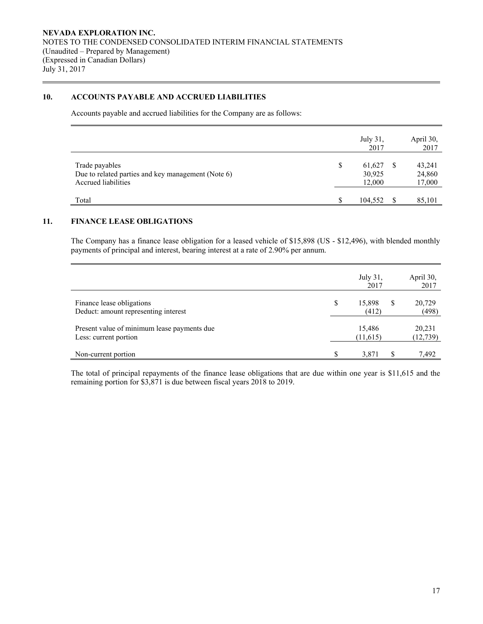## **10. ACCOUNTS PAYABLE AND ACCRUED LIABILITIES**

Accounts payable and accrued liabilities for the Company are as follows:

|                                                                                             |    | July 31,<br>2017           |          | April 30,<br>2017          |
|---------------------------------------------------------------------------------------------|----|----------------------------|----------|----------------------------|
| Trade payables<br>Due to related parties and key management (Note 6)<br>Accrued liabilities | \$ | 61,627<br>30,925<br>12,000 |          | 43,241<br>24,860<br>17,000 |
| Total                                                                                       | S  | 104.552                    | <b>S</b> | 85,101                     |

## **11. FINANCE LEASE OBLIGATIONS**

The Company has a finance lease obligation for a leased vehicle of \$15,898 (US - \$12,496), with blended monthly payments of principal and interest, bearing interest at a rate of 2.90% per annum.

|                                                                      | July 31,<br>2017      | April 30,<br>2017   |
|----------------------------------------------------------------------|-----------------------|---------------------|
| Finance lease obligations<br>Deduct: amount representing interest    | \$<br>15,898<br>(412) | 20,729<br>(498)     |
| Present value of minimum lease payments due<br>Less: current portion | 15,486<br>(11,615)    | 20,231<br>(12, 739) |
| Non-current portion                                                  | \$<br>3,871           | 7.492               |

The total of principal repayments of the finance lease obligations that are due within one year is \$11,615 and the remaining portion for \$3,871 is due between fiscal years 2018 to 2019.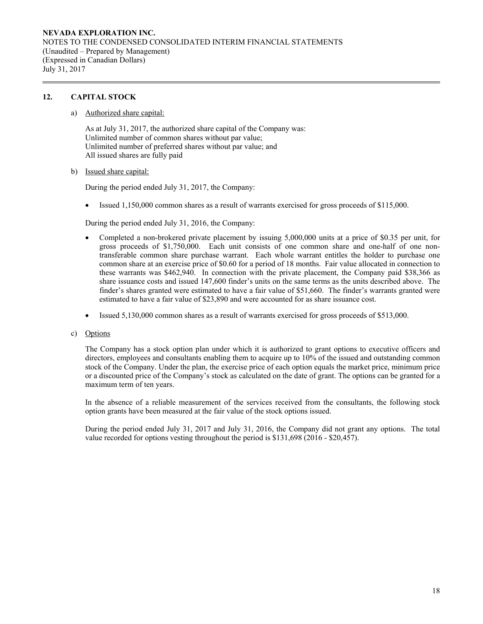## **12. CAPITAL STOCK**

### a) Authorized share capital:

As at July 31, 2017, the authorized share capital of the Company was: Unlimited number of common shares without par value; Unlimited number of preferred shares without par value; and All issued shares are fully paid

### b) Issued share capital:

During the period ended July 31, 2017, the Company:

Issued 1,150,000 common shares as a result of warrants exercised for gross proceeds of \$115,000.

During the period ended July 31, 2016, the Company:

- Completed a non-brokered private placement by issuing 5,000,000 units at a price of \$0.35 per unit, for gross proceeds of \$1,750,000. Each unit consists of one common share and one-half of one nontransferable common share purchase warrant. Each whole warrant entitles the holder to purchase one common share at an exercise price of \$0.60 for a period of 18 months. Fair value allocated in connection to these warrants was \$462,940. In connection with the private placement, the Company paid \$38,366 as share issuance costs and issued 147,600 finder's units on the same terms as the units described above. The finder's shares granted were estimated to have a fair value of \$51,660. The finder's warrants granted were estimated to have a fair value of \$23,890 and were accounted for as share issuance cost.
- Issued 5,130,000 common shares as a result of warrants exercised for gross proceeds of \$513,000.

## c) Options

The Company has a stock option plan under which it is authorized to grant options to executive officers and directors, employees and consultants enabling them to acquire up to 10% of the issued and outstanding common stock of the Company. Under the plan, the exercise price of each option equals the market price, minimum price or a discounted price of the Company's stock as calculated on the date of grant. The options can be granted for a maximum term of ten years.

In the absence of a reliable measurement of the services received from the consultants, the following stock option grants have been measured at the fair value of the stock options issued.

During the period ended July 31, 2017 and July 31, 2016, the Company did not grant any options. The total value recorded for options vesting throughout the period is \$131,698 (2016 - \$20,457).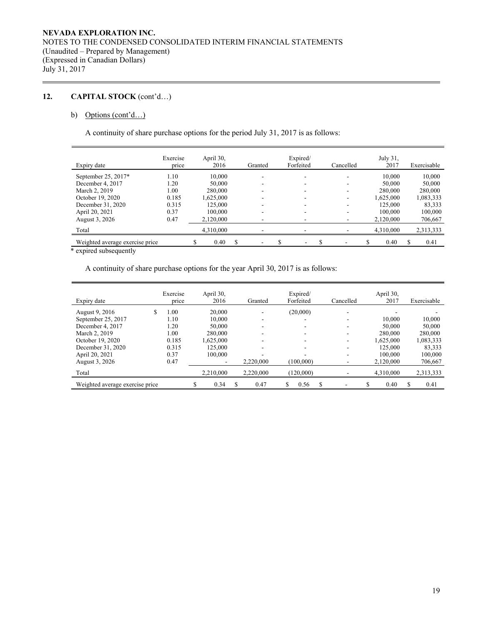## **12. CAPITAL STOCK** (cont'd…)

## b) Options (cont'd...)

A continuity of share purchase options for the period July 31, 2017 is as follows:

| Expiry date                     | Exercise<br>price | April 30,<br>2016 | Granted                  | Expired/<br>Forfeited | Cancelled | July $31$ ,<br>2017 | Exercisable |
|---------------------------------|-------------------|-------------------|--------------------------|-----------------------|-----------|---------------------|-------------|
| September 25, $2017*$           | 1.10              | 10.000            | ۰                        |                       |           | 10.000              | 10,000      |
| December 4, 2017                | 1.20              | 50,000            | ۰                        |                       | -         | 50,000              | 50,000      |
| March 2, 2019                   | 0.01              | 280,000           | ۰                        |                       | -         | 280,000             | 280,000     |
| October 19, 2020                | 0.185             | 1,625,000         |                          |                       |           | 1,625,000           | 1,083,333   |
| December 31, 2020               | 0.315             | 125,000           | ۰                        |                       |           | 125,000             | 83,333      |
| April 20, 2021                  | 0.37              | 100,000           | ۰                        |                       | -         | 100,000             | 100,000     |
| August 3, 2026                  | 0.47              | 2,120,000         | ۰                        |                       |           | 2,120,000           | 706,667     |
| Total                           |                   | 4,310,000         | ۰                        |                       |           | 4,310,000           | 2,313,333   |
| Weighted average exercise price |                   | 0.40              | $\overline{\phantom{a}}$ | ۰                     |           | 0.40                | 0.41        |

\* expired subsequently

A continuity of share purchase options for the year April 30, 2017 is as follows:

| Expiry date                     | Exercise<br>price |   | April 30,<br>2016 | Granted   | Expired/<br>Forfeited |   | Cancelled |   | April 30,<br>2017 |     | Exercisable |
|---------------------------------|-------------------|---|-------------------|-----------|-----------------------|---|-----------|---|-------------------|-----|-------------|
| \$<br>August 9, 2016            | 1.00              |   | 20,000            | ۰         | (20,000)              |   | -         |   |                   |     |             |
| September 25, 2017              | 1.10              |   | 10,000            | ۰         |                       |   | ۰         |   | 10.000            |     | 10,000      |
| December 4, 2017                | 1.20              |   | 50,000            | ۰         |                       |   | ۰         |   | 50,000            |     | 50,000      |
| March 2, 2019                   | 1.00              |   | 280,000           | ۰         |                       |   | ۰         |   | 280,000           |     | 280,000     |
| October 19, 2020                | 0.185             |   | 1.625.000         | ۰         | ۰.                    |   | ۰         |   | 1.625.000         |     | 1,083,333   |
| December 31, 2020               | 0.315             |   | 125,000           | ۰         |                       |   | ۰         |   | 125,000           |     | 83,333      |
| April 20, 2021                  | 0.37              |   | 100,000           | -         |                       |   | ۰         |   | 100,000           |     | 100,000     |
| August 3, 2026                  | 0.47              |   |                   | 2.220,000 | (100.000)             |   | ۰         |   | 2.120,000         |     | 706,667     |
| Total                           |                   |   | 2.210.000         | 2,220,000 | (120,000)             |   |           |   | 4,310,000         |     | 2,313,333   |
| Weighted average exercise price |                   | S | 0.34              | 0.47      | \$<br>0.56            | S |           | S | 0.40              | \$. | 0.41        |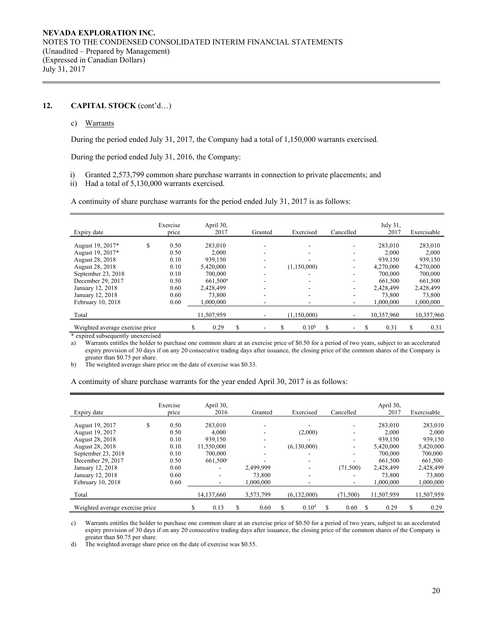## **12. CAPITAL STOCK** (cont'd…)

#### c) Warrants

During the period ended July 31, 2017, the Company had a total of 1,150,000 warrants exercised.

During the period ended July 31, 2016, the Company:

- i) Granted 2,573,799 common share purchase warrants in connection to private placements; and
- ii) Had a total of 5,130,000 warrants exercised.

A continuity of share purchase warrants for the period ended July 31, 2017 is as follows:

| Expiry date                     |   | Exercise<br>price | April 30,<br>2017 |   | Granted | Exercised         |   | Cancelled | July 31,<br>2017 | Exercisable |
|---------------------------------|---|-------------------|-------------------|---|---------|-------------------|---|-----------|------------------|-------------|
| August 19, 2017*                | S | 0.50              | 283,010           |   |         |                   |   |           | 283,010          | 283,010     |
| August 19, 2017*                |   | 0.50              | 2,000             |   |         |                   |   |           | 2.000            | 2,000       |
| August 28, 2018                 |   | 0.10              | 939.150           |   |         |                   |   |           | 939,150          | 939.150     |
| August 28, 2018                 |   | 0.10              | 5,420,000         |   |         | (1,150,000)       |   |           | 4,270,000        | 4,270,000   |
| September 23, 2018              |   | 0.10              | 700,000           |   |         |                   |   |           | 700,000          | 700,000     |
| December 29, 2017               |   | 0.50              | $661.500^{\circ}$ |   |         |                   |   |           | 661.500          | 661,500     |
| January 12, 2018                |   | 0.60              | 2.428.499         |   |         |                   |   |           | 2.428.499        | 2,428,499   |
| January 12, 2018                |   | 0.60              | 73,800            |   |         |                   |   |           | 73,800           | 73,800      |
| February 10, 2018               |   | 0.60              | 1,000,000         |   |         |                   |   |           | 1.000.000        | 1,000,000   |
| Total                           |   |                   | 11,507,959        |   |         | (1,150,000)       |   |           | 10,357,960       | 10,357,960  |
| Weighted average exercise price |   |                   | 0.29              | S |         | 0.10 <sup>b</sup> | S |           | 0.31             | \$<br>0.31  |

\* expired subsequently unexercised

a) Warrants entitles the holder to purchase one common share at an exercise price of \$0.50 for a period of two years, subject to an accelerated expiry provision of 30 days if on any 20 consecutive trading days after issuance, the closing price of the common shares of the Company is greater than \$0.75 per share.

b) The weighted average share price on the date of exercise was \$0.33.

A continuity of share purchase warrants for the year ended April 30, 2017 is as follows:

| Expiry date                                                                                                                                                                      |   | Exercise<br>price                                                    |   | April 30,<br>2016                                                         | Granted                          |   | Exercised              | Cancelled |   | April 30,<br>2017                                                                                  |   | Exercisable                                                                                        |
|----------------------------------------------------------------------------------------------------------------------------------------------------------------------------------|---|----------------------------------------------------------------------|---|---------------------------------------------------------------------------|----------------------------------|---|------------------------|-----------|---|----------------------------------------------------------------------------------------------------|---|----------------------------------------------------------------------------------------------------|
| August 19, 2017<br>August 19, 2017<br>August 28, 2018<br>August 28, 2018<br>September 23, 2018<br>December 29, 2017<br>January 12, 2018<br>January 12, 2018<br>February 10, 2018 | S | 0.50<br>0.50<br>0.10<br>0.10<br>0.10<br>0.50<br>0.60<br>0.60<br>0.60 |   | 283,010<br>4.000<br>939,150<br>11,550,000<br>700,000<br>$661.500^{\circ}$ | 2,499,999<br>73,800<br>1.000.000 |   | (2,000)<br>(6,130,000) | (71, 500) |   | 283,010<br>2.000<br>939,150<br>5.420,000<br>700,000<br>661,500<br>2,428,499<br>73,800<br>1.000.000 |   | 283,010<br>2,000<br>939,150<br>5,420,000<br>700,000<br>661,500<br>2,428,499<br>73,800<br>1,000,000 |
| Total                                                                                                                                                                            |   |                                                                      |   | 14,137,660                                                                | 3,573,799                        |   | (6,132,000)            | (71, 500) |   | 11,507,959                                                                                         |   | 11,507,959                                                                                         |
| Weighted average exercise price                                                                                                                                                  |   |                                                                      | S | 0.13                                                                      | 0.60                             | S | 0.10 <sup>d</sup>      | 0.60      | S | 0.29                                                                                               | S | 0.29                                                                                               |

c) Warrants entitles the holder to purchase one common share at an exercise price of \$0.50 for a period of two years, subject to an accelerated expiry provision of 30 days if on any 20 consecutive trading days after issuance, the closing price of the common shares of the Company is greater than \$0.75 per share.

d) The weighted average share price on the date of exercise was \$0.55.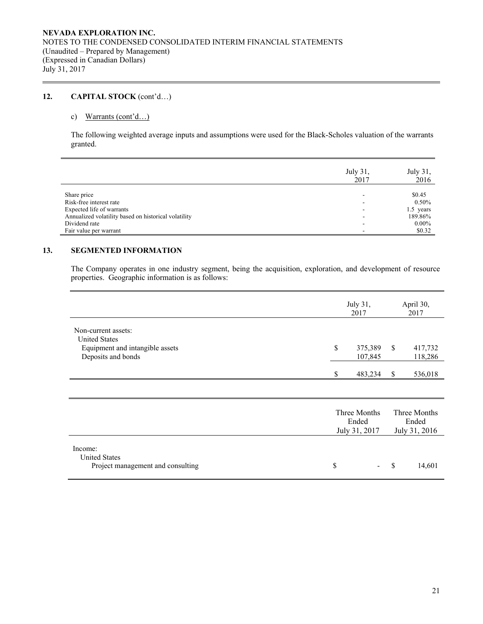## **12. CAPITAL STOCK** (cont'd…)

## c) Warrants (cont'd…)

The following weighted average inputs and assumptions were used for the Black-Scholes valuation of the warrants granted.

|                                                      | July 31,<br>2017 | July 31,<br>2016 |
|------------------------------------------------------|------------------|------------------|
|                                                      |                  |                  |
| Share price                                          | -                | \$0.45           |
| Risk-free interest rate                              | ۰                | $0.50\%$         |
| Expected life of warrants                            | -                | $1.5$ years      |
| Annualized volatility based on historical volatility |                  | 189.86%          |
| Dividend rate                                        |                  | $0.00\%$         |
| Fair value per warrant                               | -                | \$0.32           |

## **13. SEGMENTED INFORMATION**

The Company operates in one industry segment, being the acquisition, exploration, and development of resource properties. Geographic information is as follows:

|                                                                                                      | July 31,<br>2017                       |               | April 30,<br>2017                      |
|------------------------------------------------------------------------------------------------------|----------------------------------------|---------------|----------------------------------------|
| Non-current assets:<br><b>United States</b><br>Equipment and intangible assets<br>Deposits and bonds | \$<br>375,389<br>107,845               | <sup>\$</sup> | 417,732<br>118,286                     |
|                                                                                                      | \$<br>483,234                          | <sup>\$</sup> | 536,018                                |
|                                                                                                      |                                        |               |                                        |
|                                                                                                      | Three Months<br>Ended<br>July 31, 2017 |               | Three Months<br>Ended<br>July 31, 2016 |
| Income:<br><b>United States</b><br>Project management and consulting                                 | \$                                     | \$            | 14,601                                 |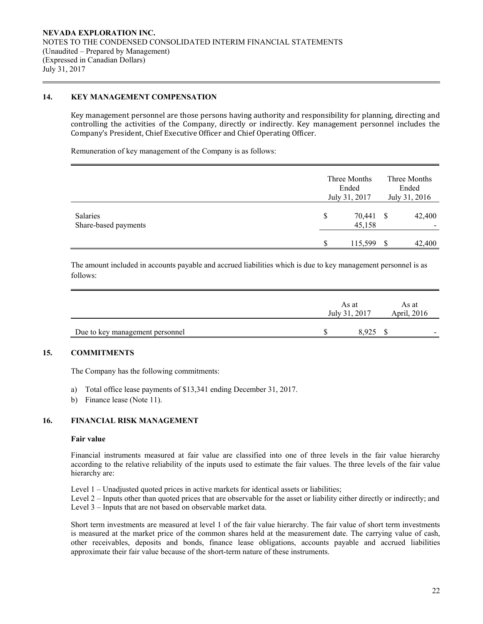## **14. KEY MANAGEMENT COMPENSATION**

Key management personnel are those persons having authority and responsibility for planning, directing and controlling the activities of the Company, directly or indirectly. Key management personnel includes the Company's President, Chief Executive Officer and Chief Operating Officer.

Remuneration of key management of the Company is as follows:

|                                  |    | Three Months<br>Ended<br>July 31, 2017 | Three Months<br>Ended<br>July 31, 2016 |        |  |  |
|----------------------------------|----|----------------------------------------|----------------------------------------|--------|--|--|
| Salaries<br>Share-based payments | S  | 70,441<br>45,158                       | - \$                                   | 42,400 |  |  |
|                                  | \$ | 115,599                                | - \$                                   | 42,400 |  |  |

The amount included in accounts payable and accrued liabilities which is due to key management personnel is as follows:

|                                 | As at<br>July 31, 2017 |  | April, 2016 |
|---------------------------------|------------------------|--|-------------|
| Due to key management personnel | 8.925                  |  | -           |

## **15. COMMITMENTS**

The Company has the following commitments:

- a) Total office lease payments of \$13,341 ending December 31, 2017.
- b) Finance lease (Note 11).

## **16. FINANCIAL RISK MANAGEMENT**

#### **Fair value**

Financial instruments measured at fair value are classified into one of three levels in the fair value hierarchy according to the relative reliability of the inputs used to estimate the fair values. The three levels of the fair value hierarchy are:

Level 1 – Unadjusted quoted prices in active markets for identical assets or liabilities;

Level 2 – Inputs other than quoted prices that are observable for the asset or liability either directly or indirectly; and Level 3 – Inputs that are not based on observable market data.

Short term investments are measured at level 1 of the fair value hierarchy. The fair value of short term investments is measured at the market price of the common shares held at the measurement date. The carrying value of cash, other receivables, deposits and bonds, finance lease obligations, accounts payable and accrued liabilities approximate their fair value because of the short-term nature of these instruments.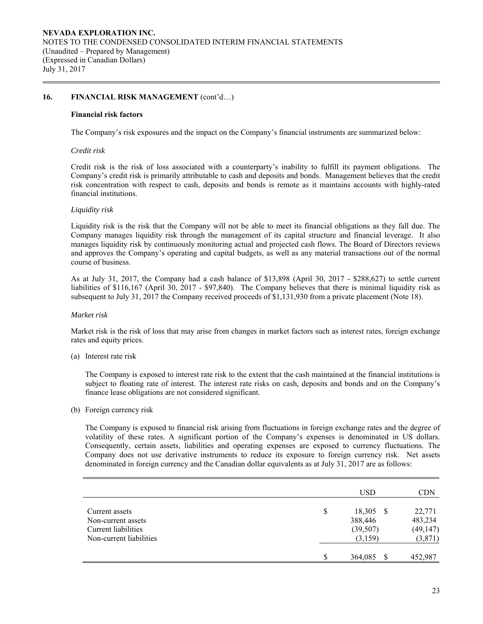## 16. FINANCIAL RISK MANAGEMENT  $(cont'd...)$

#### **Financial risk factors**

The Company's risk exposures and the impact on the Company's financial instruments are summarized below:

#### *Credit risk*

 Credit risk is the risk of loss associated with a counterparty's inability to fulfill its payment obligations. The Company's credit risk is primarily attributable to cash and deposits and bonds. Management believes that the credit risk concentration with respect to cash, deposits and bonds is remote as it maintains accounts with highly-rated financial institutions.

#### *Liquidity risk*

Liquidity risk is the risk that the Company will not be able to meet its financial obligations as they fall due. The Company manages liquidity risk through the management of its capital structure and financial leverage. It also manages liquidity risk by continuously monitoring actual and projected cash flows. The Board of Directors reviews and approves the Company's operating and capital budgets, as well as any material transactions out of the normal course of business.

As at July 31, 2017, the Company had a cash balance of \$13,898 (April 30, 2017 - \$288,627) to settle current liabilities of \$116,167 (April 30, 2017 - \$97,840). The Company believes that there is minimal liquidity risk as subsequent to July 31, 2017 the Company received proceeds of \$1,131,930 from a private placement (Note 18).

### *Market risk*

Market risk is the risk of loss that may arise from changes in market factors such as interest rates, foreign exchange rates and equity prices.

(a) Interest rate risk

 The Company is exposed to interest rate risk to the extent that the cash maintained at the financial institutions is subject to floating rate of interest. The interest rate risks on cash, deposits and bonds and on the Company's finance lease obligations are not considered significant.

(b) Foreign currency risk

The Company is exposed to financial risk arising from fluctuations in foreign exchange rates and the degree of volatility of these rates. A significant portion of the Company's expenses is denominated in US dollars. Consequently, certain assets, liabilities and operating expenses are exposed to currency fluctuations. The Company does not use derivative instruments to reduce its exposure to foreign currency risk. Net assets denominated in foreign currency and the Canadian dollar equivalents as at July 31, 2017 are as follows:

|                                                                                        |    | <b>USD</b>                                   | <b>CDN</b>                                |
|----------------------------------------------------------------------------------------|----|----------------------------------------------|-------------------------------------------|
| Current assets<br>Non-current assets<br>Current liabilities<br>Non-current liabilities | \$ | 18,305 \$<br>388,446<br>(39, 507)<br>(3,159) | 22,771<br>483,234<br>(49, 147)<br>(3,871) |
|                                                                                        | S  | 364,085<br><b>S</b>                          | 452,987                                   |